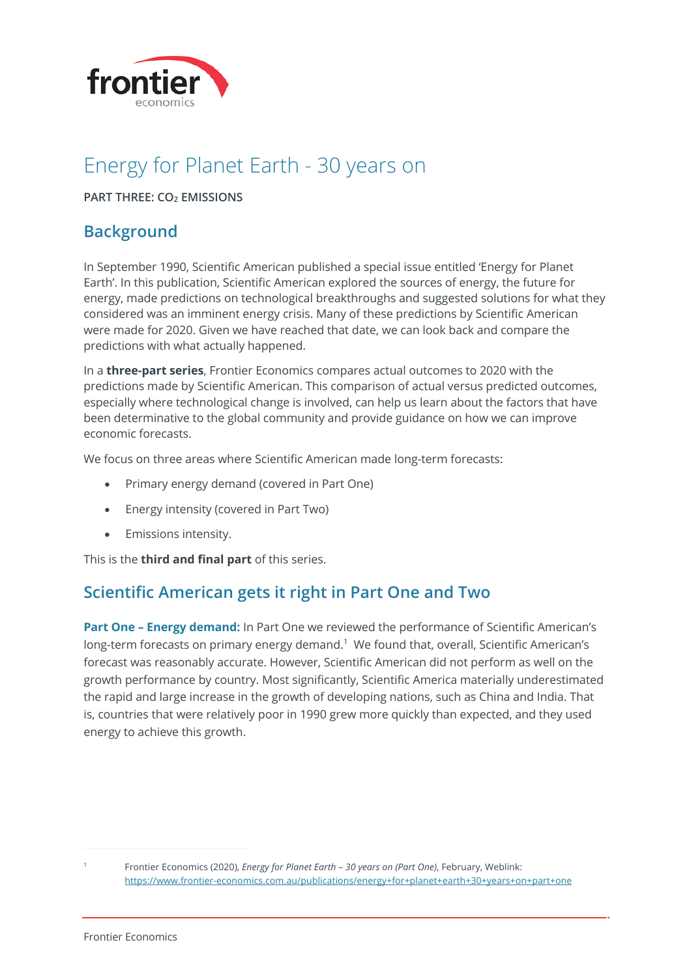

# Energy for Planet Earth - 30 years on

**PART THREE: CO<sub>2</sub> <b>EMISSIONS** 

## **Background**

In September 1990, Scientific American published a special issue entitled 'Energy for Planet Earth'. In this publication, Scientific American explored the sources of energy, the future for energy, made predictions on technological breakthroughs and suggested solutions for what they considered was an imminent energy crisis. Many of these predictions by Scientific American were made for 2020. Given we have reached that date, we can look back and compare the predictions with what actually happened.

In a **three-part series**, Frontier Economics compares actual outcomes to 2020 with the predictions made by Scientific American. This comparison of actual versus predicted outcomes, especially where technological change is involved, can help us learn about the factors that have been determinative to the global community and provide guidance on how we can improve economic forecasts.

We focus on three areas where Scientific American made long-term forecasts:

- Primary energy demand (covered in Part One)
- Energy intensity (covered in Part Two)
- Emissions intensity.

This is the **third and final part** of this series.

## **Scientific American gets it right in Part One and Two**

**Part One – Energy demand:** In Part One we reviewed the performance of Scientific American's long-term forecasts on primary energy demand.<sup>1</sup> We found that, overall, Scientific American's forecast was reasonably accurate. However, Scientific American did not perform as well on the growth performance by country. Most significantly, Scientific America materially underestimated the rapid and large increase in the growth of developing nations, such as China and India. That is, countries that were relatively poor in 1990 grew more quickly than expected, and they used energy to achieve this growth.

<sup>1</sup> Frontier Economics (2020), *Energy for Planet Earth – 30 years on (Part One)*, February, Weblink: https://www.frontier-economics.com.au/publications/energy+for+planet+earth+30+years+on+part+one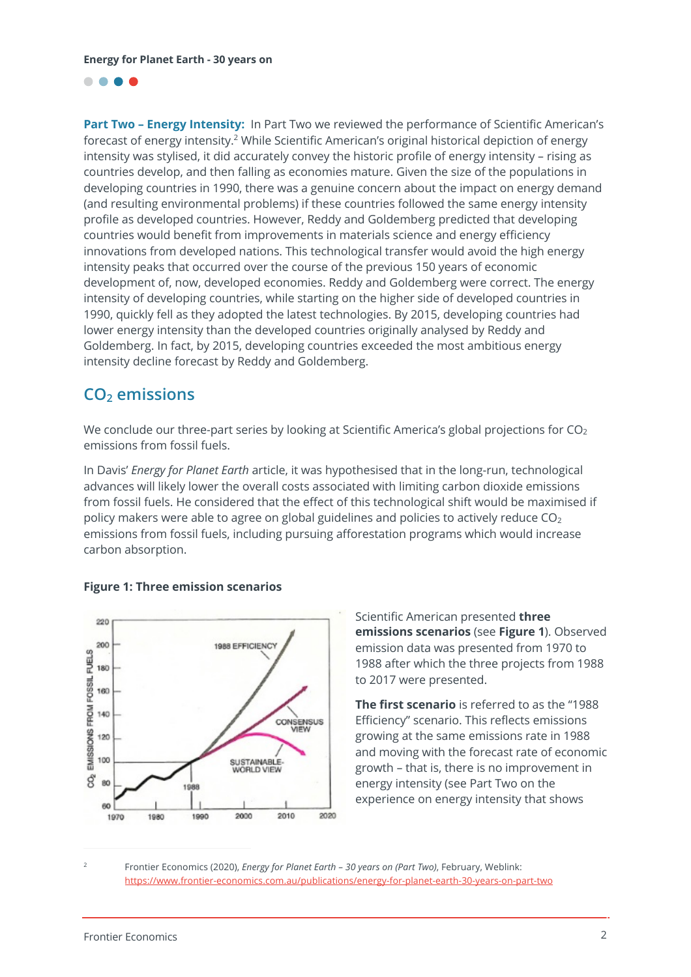

**Part Two – Energy Intensity:** In Part Two we reviewed the performance of Scientific American's forecast of energy intensity.<sup>2</sup> While Scientific American's original historical depiction of energy intensity was stylised, it did accurately convey the historic profile of energy intensity – rising as countries develop, and then falling as economies mature. Given the size of the populations in developing countries in 1990, there was a genuine concern about the impact on energy demand (and resulting environmental problems) if these countries followed the same energy intensity profile as developed countries. However, Reddy and Goldemberg predicted that developing countries would benefit from improvements in materials science and energy efficiency innovations from developed nations. This technological transfer would avoid the high energy intensity peaks that occurred over the course of the previous 150 years of economic development of, now, developed economies. Reddy and Goldemberg were correct. The energy intensity of developing countries, while starting on the higher side of developed countries in 1990, quickly fell as they adopted the latest technologies. By 2015, developing countries had lower energy intensity than the developed countries originally analysed by Reddy and Goldemberg. In fact, by 2015, developing countries exceeded the most ambitious energy intensity decline forecast by Reddy and Goldemberg.

## **CO2 emissions**

We conclude our three-part series by looking at Scientific America's global projections for  $CO<sub>2</sub>$ emissions from fossil fuels.

In Davis' *Energy for Planet Earth* article, it was hypothesised that in the long-run, technological advances will likely lower the overall costs associated with limiting carbon dioxide emissions from fossil fuels. He considered that the effect of this technological shift would be maximised if policy makers were able to agree on global guidelines and policies to actively reduce  $CO<sub>2</sub>$ emissions from fossil fuels, including pursuing afforestation programs which would increase carbon absorption.



### **Figure 1: Three emission scenarios**

Scientific American presented **three emissions scenarios** (see **Figure 1**). Observed emission data was presented from 1970 to 1988 after which the three projects from 1988 to 2017 were presented.

**The first scenario** is referred to as the "1988 Efficiency" scenario. This reflects emissions growing at the same emissions rate in 1988 and moving with the forecast rate of economic growth – that is, there is no improvement in energy intensity (see Part Two on the experience on energy intensity that shows

<sup>2</sup> Frontier Economics (2020), *Energy for Planet Earth – 30 years on (Part Two)*, February, Weblink: https://www.frontier-economics.com.au/publications/energy-for-planet-earth-30-years-on-part-two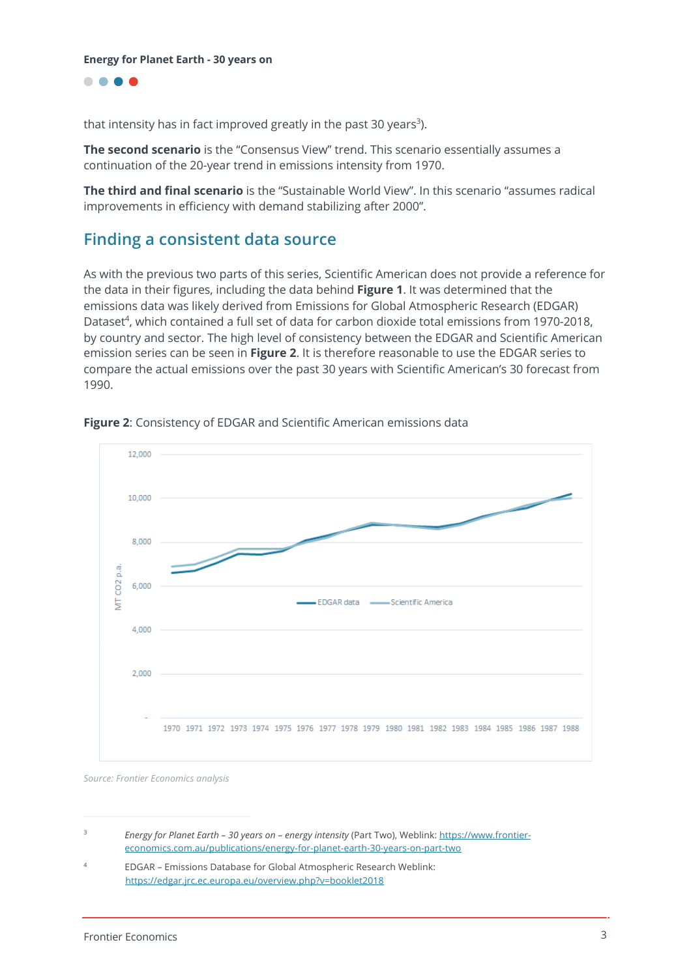....

that intensity has in fact improved greatly in the past 30 years<sup>3</sup>).

**The second scenario** is the "Consensus View" trend. This scenario essentially assumes a continuation of the 20-year trend in emissions intensity from 1970.

**The third and final scenario** is the "Sustainable World View". In this scenario "assumes radical improvements in efficiency with demand stabilizing after 2000".

## **Finding a consistent data source**

As with the previous two parts of this series, Scientific American does not provide a reference for the data in their figures, including the data behind **Figure 1**. It was determined that the emissions data was likely derived from Emissions for Global Atmospheric Research (EDGAR) Dataset<sup>4</sup>, which contained a full set of data for carbon dioxide total emissions from 1970-2018, by country and sector. The high level of consistency between the EDGAR and Scientific American emission series can be seen in **Figure 2**. It is therefore reasonable to use the EDGAR series to compare the actual emissions over the past 30 years with Scientific American's 30 forecast from 1990.



**Figure 2**: Consistency of EDGAR and Scientific American emissions data

*Source: Frontier Economics analysis*

<sup>3</sup> *Energy for Planet Earth – 30 years on – energy intensity* (Part Two), Weblink: https://www.frontiereconomics.com.au/publications/energy-for-planet-earth-30-years-on-part-two

<sup>4</sup> EDGAR – Emissions Database for Global Atmospheric Research Weblink: https://edgar.jrc.ec.europa.eu/overview.php?v=booklet2018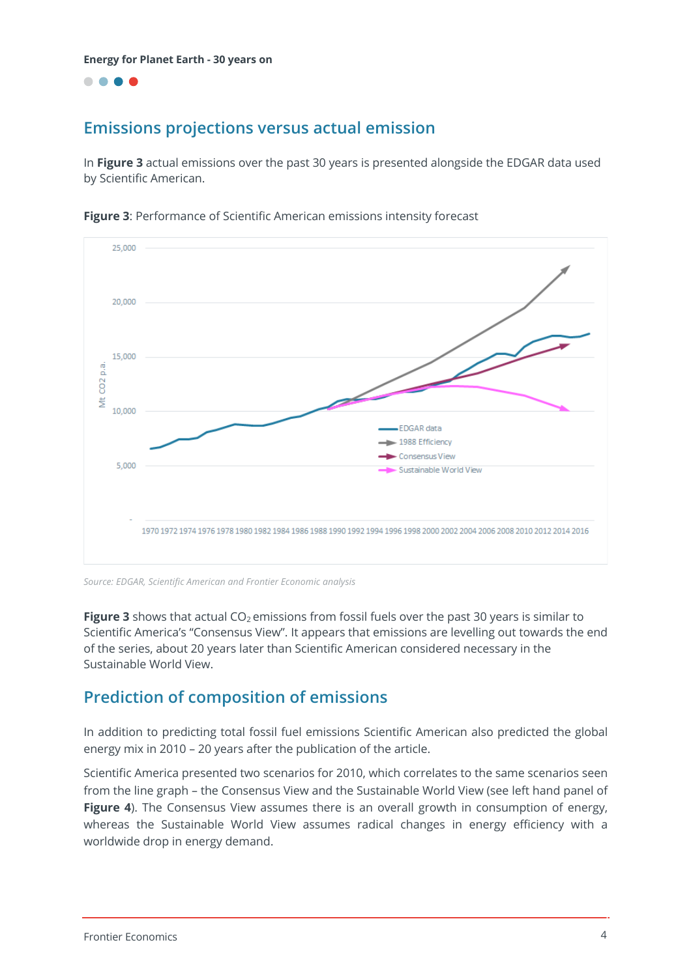....

## **Emissions projections versus actual emission**

In **Figure 3** actual emissions over the past 30 years is presented alongside the EDGAR data used by Scientific American.



**Figure 3**: Performance of Scientific American emissions intensity forecast

*Source: EDGAR, Scientific American and Frontier Economic analysis*

**Figure 3** shows that actual CO<sub>2</sub> emissions from fossil fuels over the past 30 years is similar to Scientific America's "Consensus View". It appears that emissions are levelling out towards the end of the series, about 20 years later than Scientific American considered necessary in the Sustainable World View.

## **Prediction of composition of emissions**

In addition to predicting total fossil fuel emissions Scientific American also predicted the global energy mix in 2010 – 20 years after the publication of the article.

Scientific America presented two scenarios for 2010, which correlates to the same scenarios seen from the line graph – the Consensus View and the Sustainable World View (see left hand panel of **Figure 4**). The Consensus View assumes there is an overall growth in consumption of energy, whereas the Sustainable World View assumes radical changes in energy efficiency with a worldwide drop in energy demand.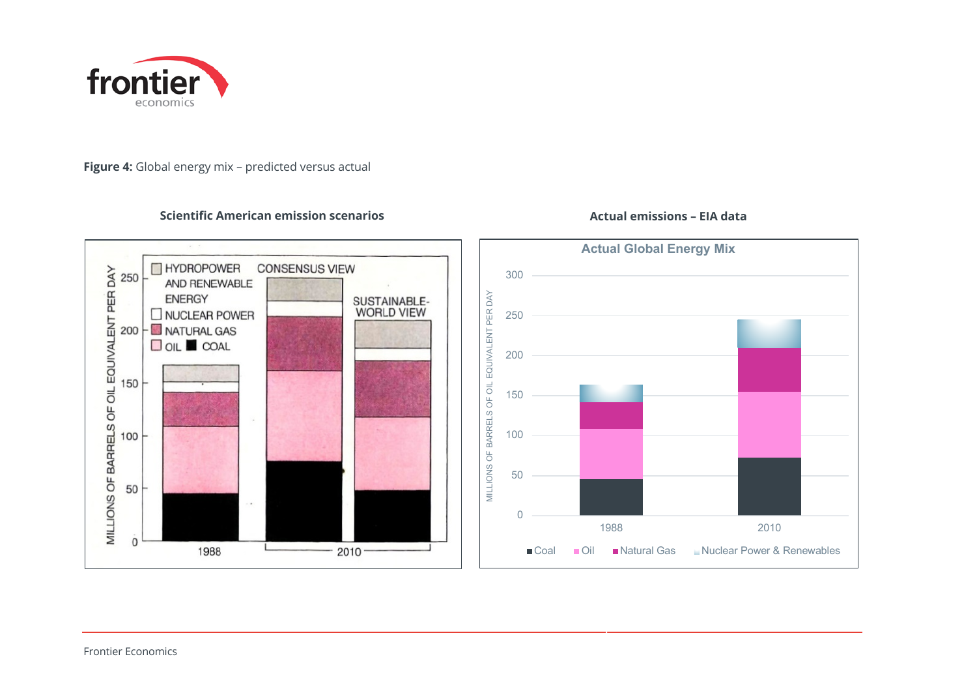

#### **Figure 4:** Global energy mix – predicted versus actual

**THYDROPOWER** 

**ENERGY** 

 $200 -$ MATURAL GAS  $\Box$  OIL  $\Box$  COAL

AND RENEWABLE

 $\square$  NUCLEAR POWER

1988

#### **Scientific American emission scenarios Actual emissions – EIA data**

**CONSENSUS VIEW** 



MILLIONS OF BARRELS OF OIL EQUIVALENT PER DAY<br>
o<br>
o<br>
g<br>
g

 $100$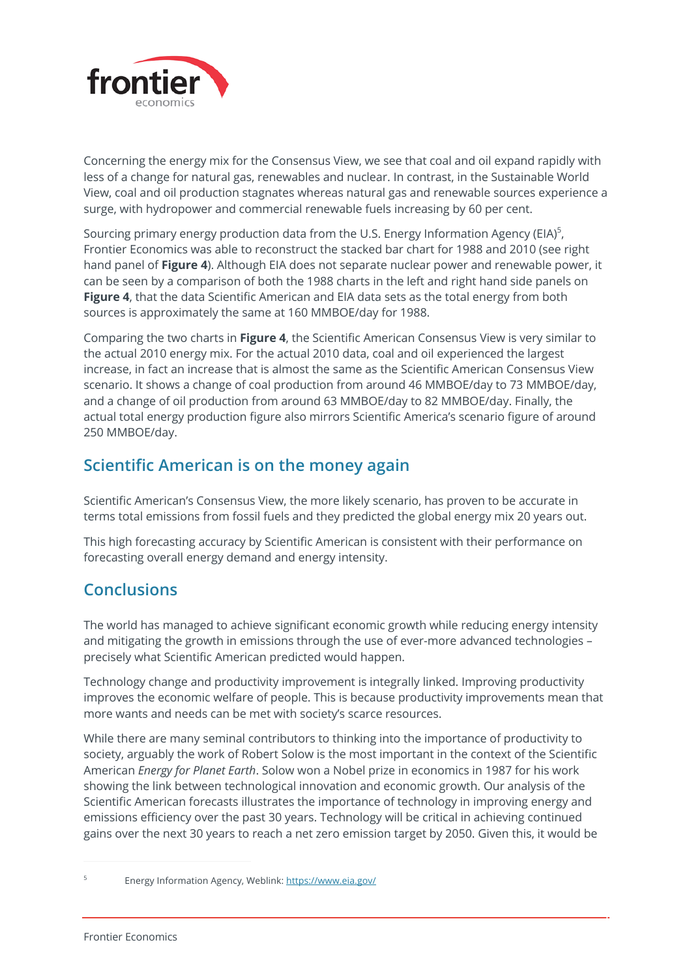

Concerning the energy mix for the Consensus View, we see that coal and oil expand rapidly with less of a change for natural gas, renewables and nuclear. In contrast, in the Sustainable World View, coal and oil production stagnates whereas natural gas and renewable sources experience a surge, with hydropower and commercial renewable fuels increasing by 60 per cent.

Sourcing primary energy production data from the U.S. Energy Information Agency (EIA)<sup>5</sup>, Frontier Economics was able to reconstruct the stacked bar chart for 1988 and 2010 (see right hand panel of **Figure 4**). Although EIA does not separate nuclear power and renewable power, it can be seen by a comparison of both the 1988 charts in the left and right hand side panels on **Figure 4**, that the data Scientific American and EIA data sets as the total energy from both sources is approximately the same at 160 MMBOE/day for 1988.

Comparing the two charts in **Figure 4**, the Scientific American Consensus View is very similar to the actual 2010 energy mix. For the actual 2010 data, coal and oil experienced the largest increase, in fact an increase that is almost the same as the Scientific American Consensus View scenario. It shows a change of coal production from around 46 MMBOE/day to 73 MMBOE/day, and a change of oil production from around 63 MMBOE/day to 82 MMBOE/day. Finally, the actual total energy production figure also mirrors Scientific America's scenario figure of around 250 MMBOE/day.

## **Scientific American is on the money again**

Scientific American's Consensus View, the more likely scenario, has proven to be accurate in terms total emissions from fossil fuels and they predicted the global energy mix 20 years out.

This high forecasting accuracy by Scientific American is consistent with their performance on forecasting overall energy demand and energy intensity.

## **Conclusions**

The world has managed to achieve significant economic growth while reducing energy intensity and mitigating the growth in emissions through the use of ever-more advanced technologies – precisely what Scientific American predicted would happen.

Technology change and productivity improvement is integrally linked. Improving productivity improves the economic welfare of people. This is because productivity improvements mean that more wants and needs can be met with society's scarce resources.

While there are many seminal contributors to thinking into the importance of productivity to society, arguably the work of Robert Solow is the most important in the context of the Scientific American *Energy for Planet Earth*. Solow won a Nobel prize in economics in 1987 for his work showing the link between technological innovation and economic growth. Our analysis of the Scientific American forecasts illustrates the importance of technology in improving energy and emissions efficiency over the past 30 years. Technology will be critical in achieving continued gains over the next 30 years to reach a net zero emission target by 2050. Given this, it would be

<sup>5</sup> Energy Information Agency, Weblink: https://www.eia.gov/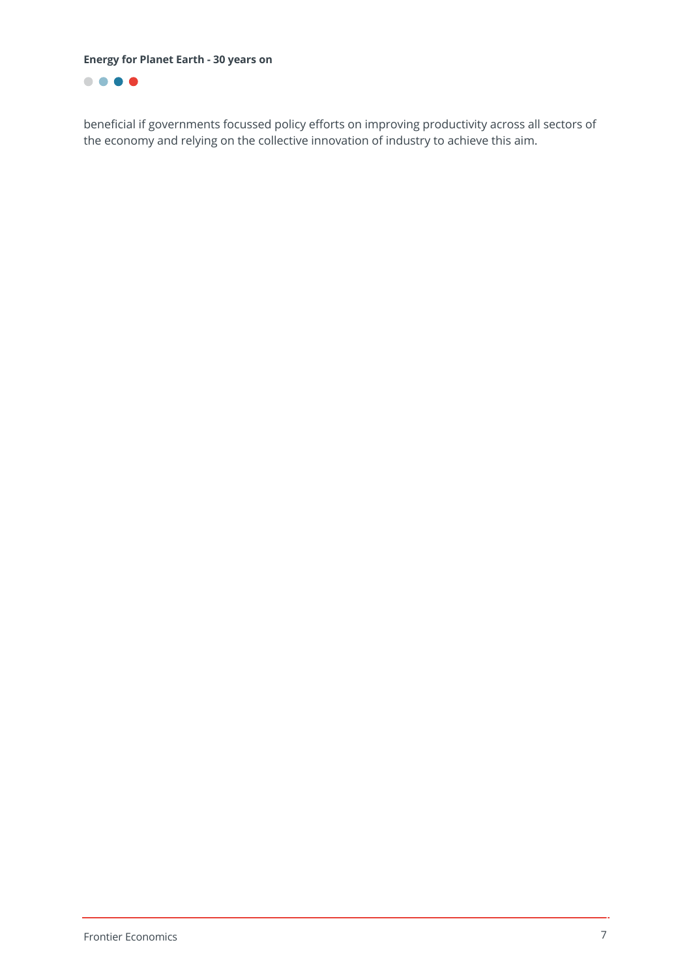**Energy for Planet Earth - 30 years on**



beneficial if governments focussed policy efforts on improving productivity across all sectors of the economy and relying on the collective innovation of industry to achieve this aim.